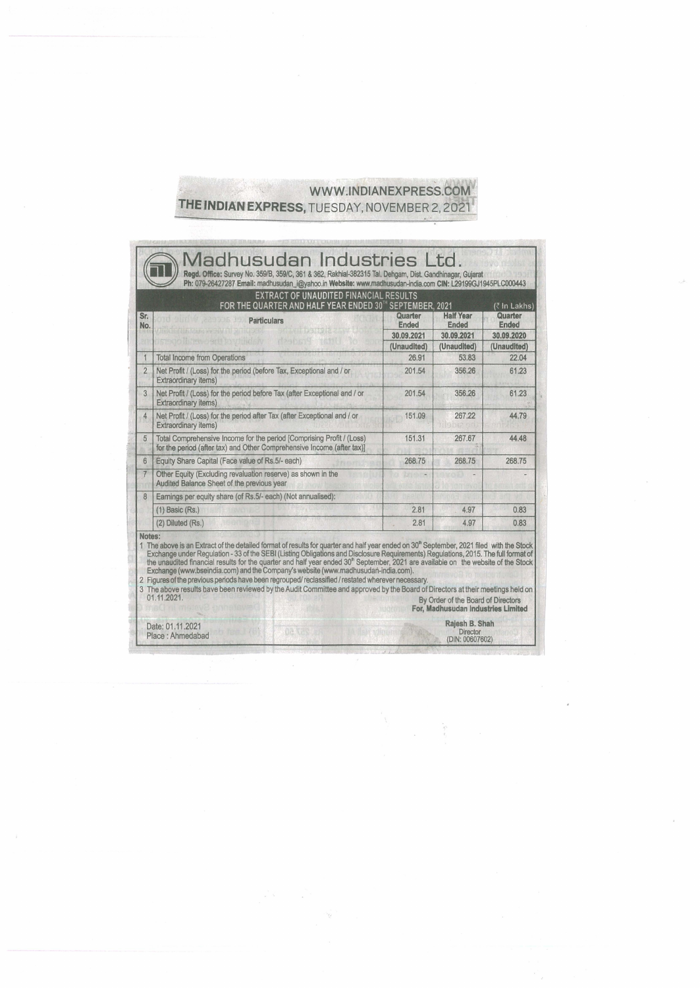## WWW.INDIANEXPRESS.COM THE INDIAN EXPRESS, TUESDAY, NOVEMBER 2, 2021

| Ended<br>30.09.2020<br>(Unaudited)<br>22.04<br>61.23<br>61.23<br>44.79                                                                                                                                                                                                                                                                                                                                                                                                                                                                                                                                               |
|----------------------------------------------------------------------------------------------------------------------------------------------------------------------------------------------------------------------------------------------------------------------------------------------------------------------------------------------------------------------------------------------------------------------------------------------------------------------------------------------------------------------------------------------------------------------------------------------------------------------|
|                                                                                                                                                                                                                                                                                                                                                                                                                                                                                                                                                                                                                      |
|                                                                                                                                                                                                                                                                                                                                                                                                                                                                                                                                                                                                                      |
|                                                                                                                                                                                                                                                                                                                                                                                                                                                                                                                                                                                                                      |
|                                                                                                                                                                                                                                                                                                                                                                                                                                                                                                                                                                                                                      |
|                                                                                                                                                                                                                                                                                                                                                                                                                                                                                                                                                                                                                      |
|                                                                                                                                                                                                                                                                                                                                                                                                                                                                                                                                                                                                                      |
| 44.48                                                                                                                                                                                                                                                                                                                                                                                                                                                                                                                                                                                                                |
| 268.75                                                                                                                                                                                                                                                                                                                                                                                                                                                                                                                                                                                                               |
|                                                                                                                                                                                                                                                                                                                                                                                                                                                                                                                                                                                                                      |
|                                                                                                                                                                                                                                                                                                                                                                                                                                                                                                                                                                                                                      |
| 0.83                                                                                                                                                                                                                                                                                                                                                                                                                                                                                                                                                                                                                 |
| 0.83                                                                                                                                                                                                                                                                                                                                                                                                                                                                                                                                                                                                                 |
| 1 The above is an Extract of the detailed format of results for quarter and half year ended on 30 <sup>th</sup> September, 2021 filed with the Stock<br>Exchange under Regulation - 33 of the SEBI (Listing Obligations and Disclosure Requirements) Regulations, 2015. The full format of<br>the unaudited financial results for the quarter and half year ended 30 <sup>th</sup> September, 2021 are available on the website of the Stock<br>3 The above results have been reviewed by the Audit Committee and approved by the Board of Directors at their meetings held on<br>By Order of the Board of Directors |

 $\begin{array}{c} \frac{1}{\sqrt{2}} \frac{1}{\sqrt{2}} \frac{1}{\sqrt{2}} \frac{1}{\sqrt{2}} \frac{1}{\sqrt{2}} \frac{1}{\sqrt{2}} \frac{1}{\sqrt{2}} \frac{1}{\sqrt{2}} \frac{1}{\sqrt{2}} \frac{1}{\sqrt{2}} \frac{1}{\sqrt{2}} \frac{1}{\sqrt{2}} \frac{1}{\sqrt{2}} \frac{1}{\sqrt{2}} \frac{1}{\sqrt{2}} \frac{1}{\sqrt{2}} \frac{1}{\sqrt{2}} \frac{1}{\sqrt{2}} \frac{1}{\sqrt{2}} \frac{1}{\sqrt{2}} \frac{1}{\sqrt{2}} \frac{$